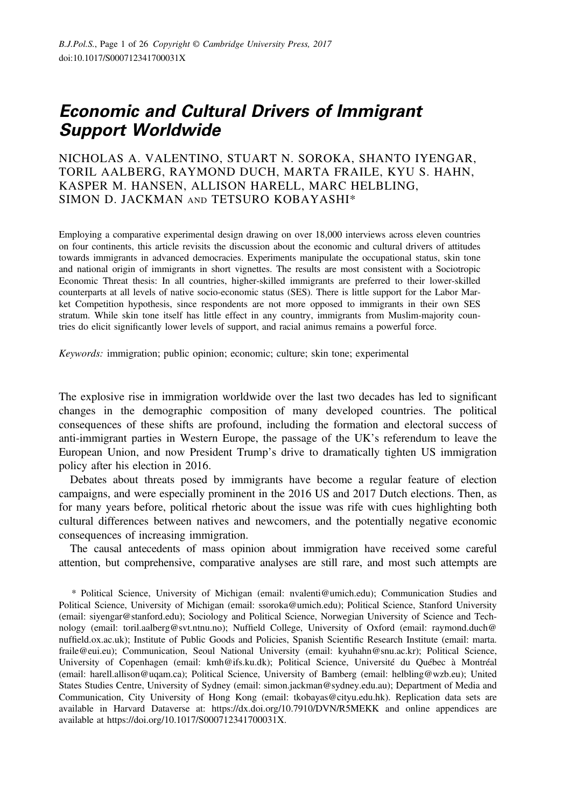# Economic and Cultural Drivers of Immigrant Support Worldwide

# NICHOLAS A. VALENTINO, STUART N. SOROKA, SHANTO IYENGAR, TORIL AALBERG, RAYMOND DUCH, MARTA FRAILE, KYU S. HAHN, KASPER M. HANSEN, ALLISON HARELL, MARC HELBLING, SIMON D. JACKMAN AND TETSURO KOBAYASHI\*

Employing a comparative experimental design drawing on over 18,000 interviews across eleven countries on four continents, this article revisits the discussion about the economic and cultural drivers of attitudes towards immigrants in advanced democracies. Experiments manipulate the occupational status, skin tone and national origin of immigrants in short vignettes. The results are most consistent with a Sociotropic Economic Threat thesis: In all countries, higher-skilled immigrants are preferred to their lower-skilled counterparts at all levels of native socio-economic status (SES). There is little support for the Labor Market Competition hypothesis, since respondents are not more opposed to immigrants in their own SES stratum. While skin tone itself has little effect in any country, immigrants from Muslim-majority countries do elicit significantly lower levels of support, and racial animus remains a powerful force.

Keywords: immigration; public opinion; economic; culture; skin tone; experimental

The explosive rise in immigration worldwide over the last two decades has led to significant changes in the demographic composition of many developed countries. The political consequences of these shifts are profound, including the formation and electoral success of anti-immigrant parties in Western Europe, the passage of the UK's referendum to leave the European Union, and now President Trump's drive to dramatically tighten US immigration policy after his election in 2016.

Debates about threats posed by immigrants have become a regular feature of election campaigns, and were especially prominent in the 2016 US and 2017 Dutch elections. Then, as for many years before, political rhetoric about the issue was rife with cues highlighting both cultural differences between natives and newcomers, and the potentially negative economic consequences of increasing immigration.

The causal antecedents of mass opinion about immigration have received some careful attention, but comprehensive, comparative analyses are still rare, and most such attempts are

\* Political Science, University of Michigan (email: [nvalenti@umich.edu](mailto:nvalenti@umich.edu)); Communication Studies and Political Science, University of Michigan (email: [ssoroka@umich.edu\)](mailto:ssoroka@umich.edu); Political Science, Stanford University (email: [siyengar@stanford.edu\)](mailto:siyengar@stanford.edu); Sociology and Political Science, Norwegian University of Science and Technology (email: [toril.aalberg@svt.ntnu.no\)](mailto:toril.aalberg@svt.ntnu.no); Nuffield College, University of Oxford (email: [raymond.duch@](mailto:raymond.duch@nuffield.ox.ac.uk) nuffi[eld.ox.ac.uk\)](mailto:raymond.duch@nuffield.ox.ac.uk); Institute of Public Goods and Policies, Spanish Scientific Research Institute (email: [marta.](mailto:marta.fraile@eui.eu) [fraile@eui.eu\)](mailto:marta.fraile@eui.eu); Communication, Seoul National University (email: [kyuhahn@snu.ac.kr](mailto:kyuhahn@snu.ac.kr)); Political Science, University of Copenhagen (email: [kmh@ifs.ku.dk](mailto:kmh@ifs.ku.dk)); Political Science, Université du Québec à Montréal (email: [harell.allison@uqam.ca\)](mailto:harell.allison@uqam.ca); Political Science, University of Bamberg (email: [helbling@wzb.eu](mailto:helbling@wzb.eu)); United States Studies Centre, University of Sydney (email: [simon.jackman@sydney.edu.au\)](mailto:simon.jackman@sydney.edu.au); Department of Media and Communication, City University of Hong Kong (email: [tkobayas@cityu.edu.hk\)](mailto:tkobayas@cityu.edu.hk). Replication data sets are available in Harvard Dataverse at: https://dx.doi.org/10.7910/DVN/R5MEKK and online appendices are available at https://doi.org/10.1017/S000712341700031X.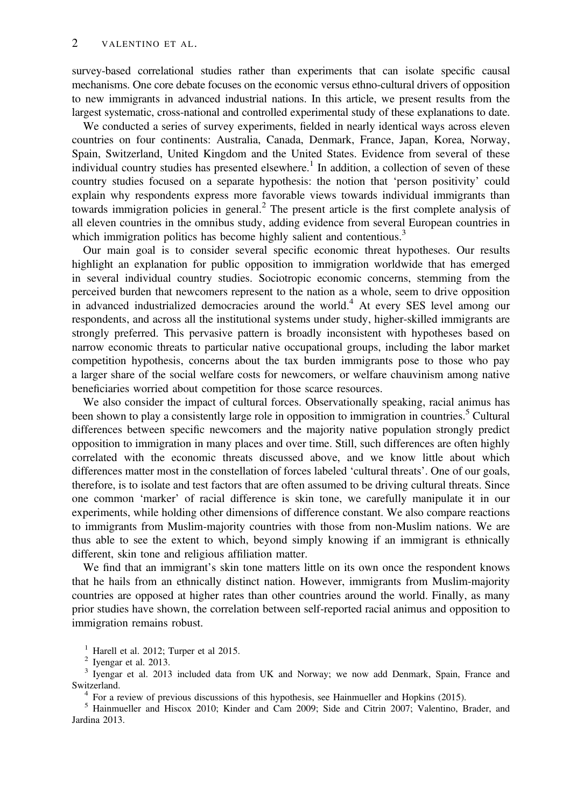survey-based correlational studies rather than experiments that can isolate specific causal mechanisms. One core debate focuses on the economic versus ethno-cultural drivers of opposition to new immigrants in advanced industrial nations. In this article, we present results from the largest systematic, cross-national and controlled experimental study of these explanations to date.

We conducted a series of survey experiments, fielded in nearly identical ways across eleven countries on four continents: Australia, Canada, Denmark, France, Japan, Korea, Norway, Spain, Switzerland, United Kingdom and the United States. Evidence from several of these individual country studies has presented elsewhere.<sup>1</sup> In addition, a collection of seven of these country studies focused on a separate hypothesis: the notion that 'person positivity' could explain why respondents express more favorable views towards individual immigrants than towards immigration policies in general.<sup>2</sup> The present article is the first complete analysis of all eleven countries in the omnibus study, adding evidence from several European countries in which immigration politics has become highly salient and contentious.<sup>3</sup>

Our main goal is to consider several specific economic threat hypotheses. Our results highlight an explanation for public opposition to immigration worldwide that has emerged in several individual country studies. Sociotropic economic concerns, stemming from the perceived burden that newcomers represent to the nation as a whole, seem to drive opposition in advanced industrialized democracies around the world.<sup>4</sup> At every SES level among our respondents, and across all the institutional systems under study, higher-skilled immigrants are strongly preferred. This pervasive pattern is broadly inconsistent with hypotheses based on narrow economic threats to particular native occupational groups, including the labor market competition hypothesis, concerns about the tax burden immigrants pose to those who pay a larger share of the social welfare costs for newcomers, or welfare chauvinism among native beneficiaries worried about competition for those scarce resources.

We also consider the impact of cultural forces. Observationally speaking, racial animus has been shown to play a consistently large role in opposition to immigration in countries.<sup>5</sup> Cultural differences between specific newcomers and the majority native population strongly predict opposition to immigration in many places and over time. Still, such differences are often highly correlated with the economic threats discussed above, and we know little about which differences matter most in the constellation of forces labeled 'cultural threats'. One of our goals, therefore, is to isolate and test factors that are often assumed to be driving cultural threats. Since one common 'marker' of racial difference is skin tone, we carefully manipulate it in our experiments, while holding other dimensions of difference constant. We also compare reactions to immigrants from Muslim-majority countries with those from non-Muslim nations. We are thus able to see the extent to which, beyond simply knowing if an immigrant is ethnically different, skin tone and religious affiliation matter.

We find that an immigrant's skin tone matters little on its own once the respondent knows that he hails from an ethnically distinct nation. However, immigrants from Muslim-majority countries are opposed at higher rates than other countries around the world. Finally, as many prior studies have shown, the correlation between self-reported racial animus and opposition to immigration remains robust.

<sup>1</sup> Harell et al. [2012;](#page-23-0) Turper et al [2015](#page-25-0).<br><sup>2</sup> Iyengar et al. [2013.](#page-24-0)<br><sup>3</sup> Iyengar et al. [2013](#page-24-0) included data from UK and Norway; we now add Denmark, Spain, France and Switzerland. <sup>4</sup> For a review of previous discussions of this hypothesis, see Hainmueller and Hopkins ([2015\)](#page-24-0). <sup>5</sup> Hainmueller and Hiscox [2010](#page-23-0); Kinder and Cam [2009;](#page-24-0) Side and Citrin [2007;](#page-24-0) Valentino, Brader, and

Jardina [2013](#page-25-0).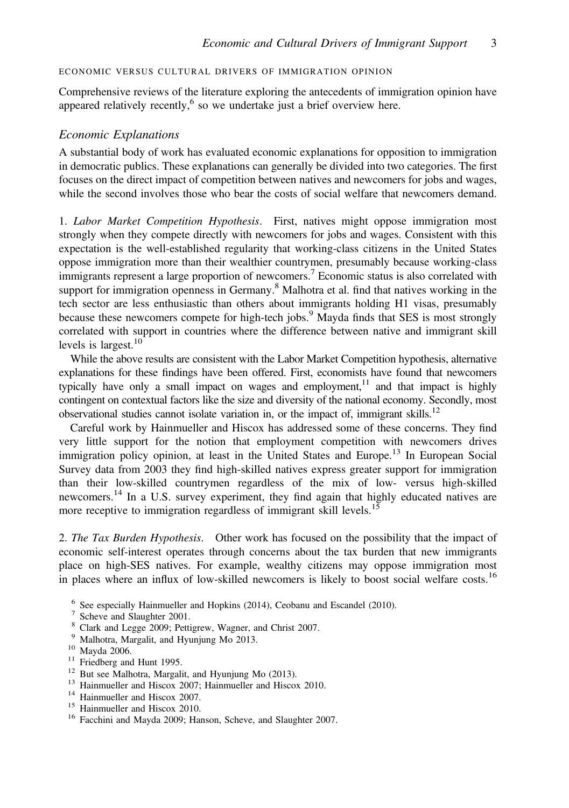## ECONOMIC VERSUS CULTURAL DRIVERS OF IMMIGRATION OPINION

Comprehensive reviews of the literature exploring the antecedents of immigration opinion have appeared relatively recently, $6$  so we undertake just a brief overview here.

## Economic Explanations

A substantial body of work has evaluated economic explanations for opposition to immigration in democratic publics. These explanations can generally be divided into two categories. The first focuses on the direct impact of competition between natives and newcomers for jobs and wages, while the second involves those who bear the costs of social welfare that newcomers demand.

1. Labor Market Competition Hypothesis. First, natives might oppose immigration most strongly when they compete directly with newcomers for jobs and wages. Consistent with this expectation is the well-established regularity that working-class citizens in the United States oppose immigration more than their wealthier countrymen, presumably because working-class immigrants represent a large proportion of newcomers.<sup>7</sup> Economic status is also correlated with support for immigration openness in Germany.<sup>8</sup> Malhotra et al. find that natives working in the tech sector are less enthusiastic than others about immigrants holding H1 visas, presumably because these newcomers compete for high-tech jobs.<sup>9</sup> Mayda finds that SES is most strongly correlated with support in countries where the difference between native and immigrant skill levels is largest. $10$ 

While the above results are consistent with the Labor Market Competition hypothesis, alternative explanations for these findings have been offered. First, economists have found that newcomers typically have only a small impact on wages and employment,<sup>11</sup> and that impact is highly contingent on contextual factors like the size and diversity of the national economy. Secondly, most observational studies cannot isolate variation in, or the impact of, immigrant skills.<sup>12</sup>

Careful work by Hainmueller and Hiscox has addressed some of these concerns. They find very little support for the notion that employment competition with newcomers drives immigration policy opinion, at least in the United States and Europe.<sup>13</sup> In European Social Survey data from 2003 they find high-skilled natives express greater support for immigration than their low-skilled countrymen regardless of the mix of low- versus high-skilled newcomers.<sup>14</sup> In a U.S. survey experiment, they find again that highly educated natives are more receptive to immigration regardless of immigrant skill levels.<sup>15</sup>

2. The Tax Burden Hypothesis. Other work has focused on the possibility that the impact of economic self-interest operates through concerns about the tax burden that new immigrants place on high-SES natives. For example, wealthy citizens may oppose immigration most in places where an influx of low-skilled newcomers is likely to boost social welfare costs.<sup>16</sup>

<sup>6</sup> See especially Hainmueller and Hopkins [\(2014](#page-23-0)), Ceobanu and Escandel [\(2010](#page-23-0)).<br>
<sup>7</sup> Scheve and Slaughter [2001](#page-24-0).<br>
<sup>8</sup> Clark and Legge [2009](#page-23-0); Pettigrew, Wagner, and Christ [2007](#page-23-0).<br>
<sup>9</sup> Malhotra, Margalit, and Hyunjung Mo [2013.](#page-24-0)

- 
- 
- 
- 
- 
- 
- 
- 
-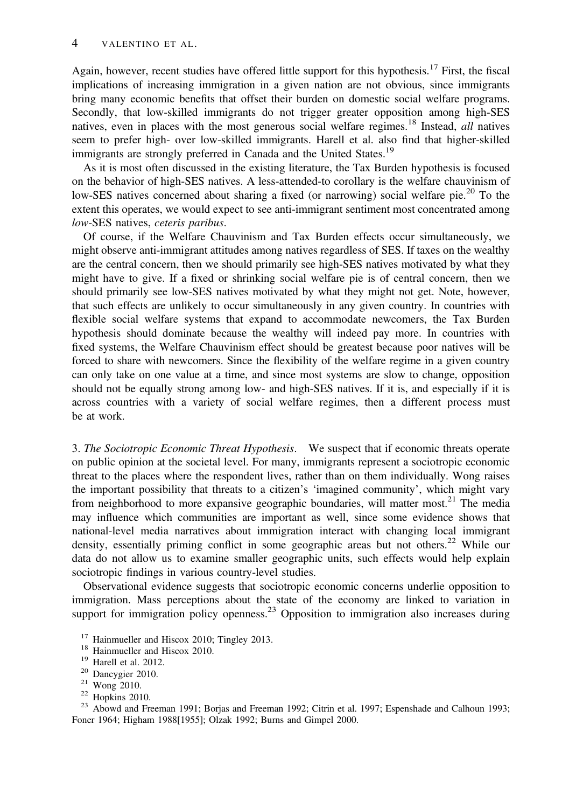Again, however, recent studies have offered little support for this hypothesis.<sup>17</sup> First, the fiscal implications of increasing immigration in a given nation are not obvious, since immigrants bring many economic benefits that offset their burden on domestic social welfare programs. Secondly, that low-skilled immigrants do not trigger greater opposition among high-SES natives, even in places with the most generous social welfare regimes.<sup>18</sup> Instead, *all* natives seem to prefer high- over low-skilled immigrants. Harell et al. also find that higher-skilled immigrants are strongly preferred in Canada and the United States.<sup>19</sup>

As it is most often discussed in the existing literature, the Tax Burden hypothesis is focused on the behavior of high-SES natives. A less-attended-to corollary is the welfare chauvinism of low-SES natives concerned about sharing a fixed (or narrowing) social welfare pie.<sup>20</sup> To the extent this operates, we would expect to see anti-immigrant sentiment most concentrated among low-SES natives, ceteris paribus.

Of course, if the Welfare Chauvinism and Tax Burden effects occur simultaneously, we might observe anti-immigrant attitudes among natives regardless of SES. If taxes on the wealthy are the central concern, then we should primarily see high-SES natives motivated by what they might have to give. If a fixed or shrinking social welfare pie is of central concern, then we should primarily see low-SES natives motivated by what they might not get. Note, however, that such effects are unlikely to occur simultaneously in any given country. In countries with flexible social welfare systems that expand to accommodate newcomers, the Tax Burden hypothesis should dominate because the wealthy will indeed pay more. In countries with fixed systems, the Welfare Chauvinism effect should be greatest because poor natives will be forced to share with newcomers. Since the flexibility of the welfare regime in a given country can only take on one value at a time, and since most systems are slow to change, opposition should not be equally strong among low- and high-SES natives. If it is, and especially if it is across countries with a variety of social welfare regimes, then a different process must be at work.

3. The Sociotropic Economic Threat Hypothesis. We suspect that if economic threats operate on public opinion at the societal level. For many, immigrants represent a sociotropic economic threat to the places where the respondent lives, rather than on them individually. Wong raises the important possibility that threats to a citizen's 'imagined community', which might vary from neighborhood to more expansive geographic boundaries, will matter most.<sup>21</sup> The media may influence which communities are important as well, since some evidence shows that national-level media narratives about immigration interact with changing local immigrant density, essentially priming conflict in some geographic areas but not others.<sup>22</sup> While our data do not allow us to examine smaller geographic units, such effects would help explain sociotropic findings in various country-level studies.

Observational evidence suggests that sociotropic economic concerns underlie opposition to immigration. Mass perceptions about the state of the economy are linked to variation in support for immigration policy openness.<sup>23</sup> Opposition to immigration also increases during

- 
- 
- 

<sup>17</sup> Hainmueller and Hiscox [2010;](#page-23-0) Tingley [2013.](#page-25-0)<br><sup>18</sup> Hainmueller and Hiscox [2010.](#page-24-0)<br><sup>19</sup> Harell et al. [2012.](#page-23-0)<br><sup>20</sup> Dancygier [2010](#page-23-0).<br><sup>21</sup> Wong 2010.<br><sup>22</sup> Hopkins 2010.<br><sup>23</sup> Abowd and Freeman [1991;](#page-22-0) Borjas and Freeman [1992](#page-23-0); Citr Foner [1964;](#page-23-0) Higham [1988\[](#page-23-0)1955]; Olzak [1992;](#page-24-0) Burns and Gimpel [2000.](#page-23-0)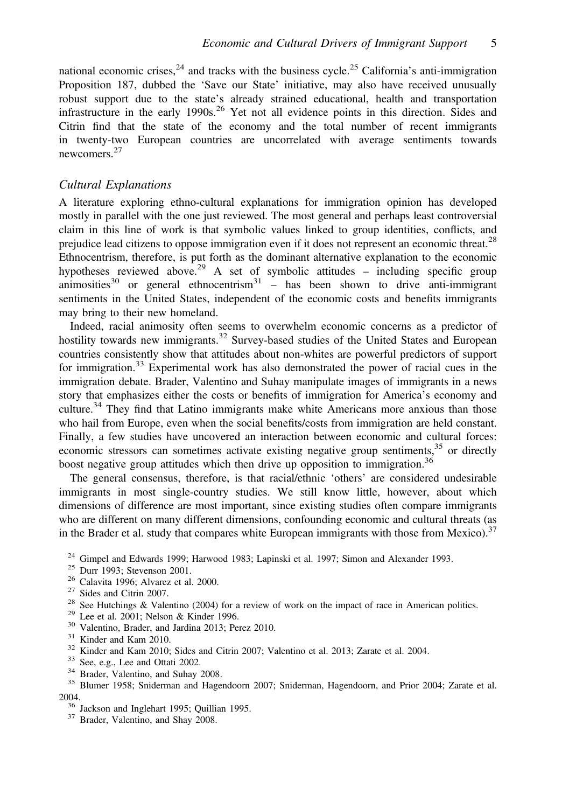national economic crises,  $24$  and tracks with the business cycle.<sup>25</sup> California's anti-immigration Proposition 187, dubbed the 'Save our State' initiative, may also have received unusually robust support due to the state's already strained educational, health and transportation infrastructure in the early  $1990s$ .<sup>26</sup> Yet not all evidence points in this direction. Sides and Citrin find that the state of the economy and the total number of recent immigrants in twenty-two European countries are uncorrelated with average sentiments towards newcomers.<sup>27</sup>

## Cultural Explanations

A literature exploring ethno-cultural explanations for immigration opinion has developed mostly in parallel with the one just reviewed. The most general and perhaps least controversial claim in this line of work is that symbolic values linked to group identities, conflicts, and prejudice lead citizens to oppose immigration even if it does not represent an economic threat.<sup>28</sup> Ethnocentrism, therefore, is put forth as the dominant alternative explanation to the economic hypotheses reviewed above.<sup>29</sup> A set of symbolic attitudes – including specific group  $\text{animosities}^{30}$  or general ethnocentrism<sup>31</sup> – has been shown to drive anti-immigrant sentiments in the United States, independent of the economic costs and benefits immigrants may bring to their new homeland.

Indeed, racial animosity often seems to overwhelm economic concerns as a predictor of hostility towards new immigrants.<sup>32</sup> Survey-based studies of the United States and European countries consistently show that attitudes about non-whites are powerful predictors of support for immigration.<sup>33</sup> Experimental work has also demonstrated the power of racial cues in the immigration debate. Brader, Valentino and Suhay manipulate images of immigrants in a news story that emphasizes either the costs or benefits of immigration for America's economy and culture.<sup>34</sup> They find that Latino immigrants make white Americans more anxious than those who hail from Europe, even when the social benefits/costs from immigration are held constant. Finally, a few studies have uncovered an interaction between economic and cultural forces: economic stressors can sometimes activate existing negative group sentiments,  $35$  or directly boost negative group attitudes which then drive up opposition to immigration.<sup>36</sup>

The general consensus, therefore, is that racial/ethnic 'others' are considered undesirable immigrants in most single-country studies. We still know little, however, about which dimensions of difference are most important, since existing studies often compare immigrants who are different on many different dimensions, confounding economic and cultural threats (as in the Brader et al. study that compares white European immigrants with those from Mexico).<sup>37</sup>

- 
- 
- <sup>24</sup> Gimpel and Edwards [1999](#page-23-0); Harwood [1983](#page-23-0); Lapinski et al. [1997](#page-24-0); Simon and Alexander [1993](#page-24-0).<br><sup>25</sup> Durr [1993;](#page-23-0) Stevenson [2001](#page-24-0).<br><sup>26</sup> Calavita [1996;](#page-23-0) Alvarez et al. [2000.](#page-22-0)<br><sup>27</sup> Sides and Citrin [2007](#page-24-0).<br><sup>29</sup> Sides and Citrin 2007.<br>
- 
- 
- 
- 
- 
- 
- [2004.](#page-25-0)  $36 \text{ Jackson}$  and Inglehart [1995;](#page-24-0) Quillian [1995.](#page-24-0)  $37 \text{ Brader}$ , Valentino, and Shay [2008](#page-24-0).
	-
	-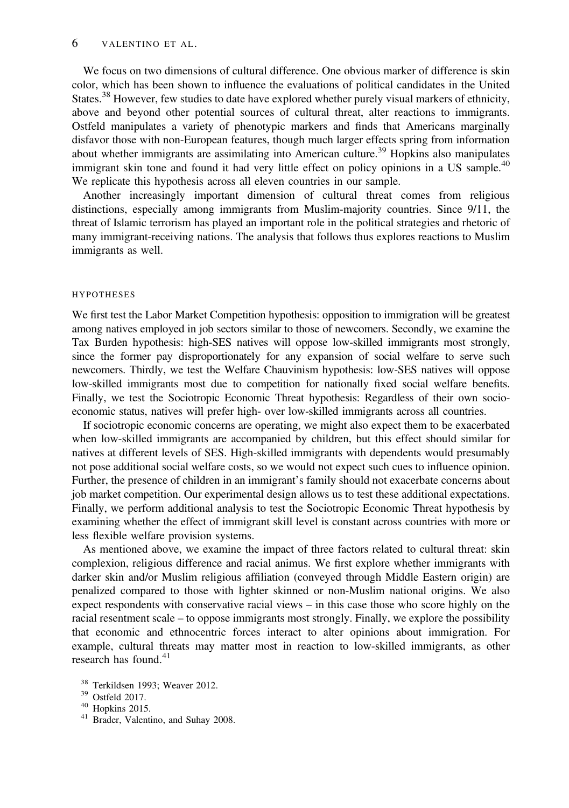We focus on two dimensions of cultural difference. One obvious marker of difference is skin color, which has been shown to influence the evaluations of political candidates in the United States.<sup>38</sup> However, few studies to date have explored whether purely visual markers of ethnicity, above and beyond other potential sources of cultural threat, alter reactions to immigrants. Ostfeld manipulates a variety of phenotypic markers and finds that Americans marginally disfavor those with non-European features, though much larger effects spring from information about whether immigrants are assimilating into American culture.<sup>39</sup> Hopkins also manipulates immigrant skin tone and found it had very little effect on policy opinions in a US sample.<sup>40</sup> We replicate this hypothesis across all eleven countries in our sample.

Another increasingly important dimension of cultural threat comes from religious distinctions, especially among immigrants from Muslim-majority countries. Since 9/11, the threat of Islamic terrorism has played an important role in the political strategies and rhetoric of many immigrant-receiving nations. The analysis that follows thus explores reactions to Muslim immigrants as well.

#### **HYPOTHESES**

We first test the Labor Market Competition hypothesis: opposition to immigration will be greatest among natives employed in job sectors similar to those of newcomers. Secondly, we examine the Tax Burden hypothesis: high-SES natives will oppose low-skilled immigrants most strongly, since the former pay disproportionately for any expansion of social welfare to serve such newcomers. Thirdly, we test the Welfare Chauvinism hypothesis: low-SES natives will oppose low-skilled immigrants most due to competition for nationally fixed social welfare benefits. Finally, we test the Sociotropic Economic Threat hypothesis: Regardless of their own socioeconomic status, natives will prefer high- over low-skilled immigrants across all countries.

If sociotropic economic concerns are operating, we might also expect them to be exacerbated when low-skilled immigrants are accompanied by children, but this effect should similar for natives at different levels of SES. High-skilled immigrants with dependents would presumably not pose additional social welfare costs, so we would not expect such cues to influence opinion. Further, the presence of children in an immigrant's family should not exacerbate concerns about job market competition. Our experimental design allows us to test these additional expectations. Finally, we perform additional analysis to test the Sociotropic Economic Threat hypothesis by examining whether the effect of immigrant skill level is constant across countries with more or less flexible welfare provision systems.

As mentioned above, we examine the impact of three factors related to cultural threat: skin complexion, religious difference and racial animus. We first explore whether immigrants with darker skin and/or Muslim religious affiliation (conveyed through Middle Eastern origin) are penalized compared to those with lighter skinned or non-Muslim national origins. We also expect respondents with conservative racial views – in this case those who score highly on the racial resentment scale – to oppose immigrants most strongly. Finally, we explore the possibility that economic and ethnocentric forces interact to alter opinions about immigration. For example, cultural threats may matter most in reaction to low-skilled immigrants, as other research has found. $41$ 

<sup>38</sup> Terkildsen [1993](#page-25-0); Weaver [2012.](#page-25-0)<br><sup>39</sup> Ostfeld [2017.](#page-24-0)<br><sup>40</sup> Hopkins [2015.](#page-24-0)<br><sup>41</sup> Brader, Valentino, and Suhay [2008](#page-23-0).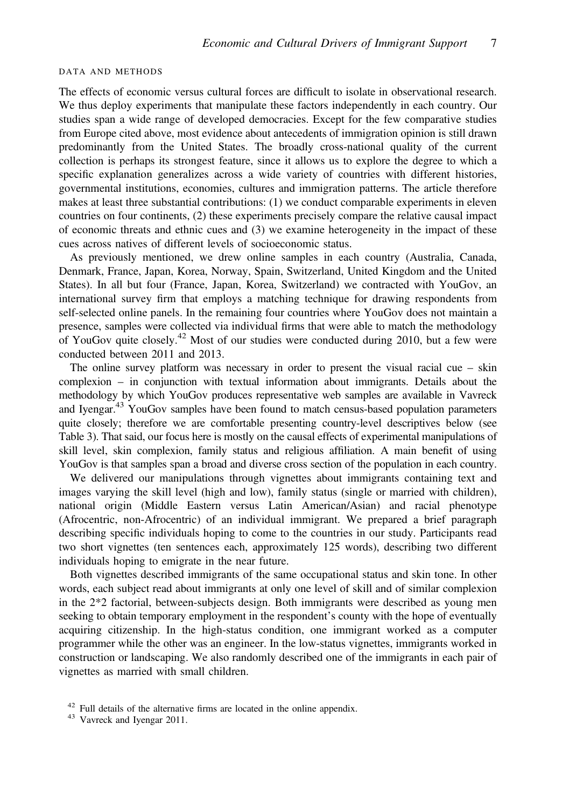## DATA AND METHODS

The effects of economic versus cultural forces are difficult to isolate in observational research. We thus deploy experiments that manipulate these factors independently in each country. Our studies span a wide range of developed democracies. Except for the few comparative studies from Europe cited above, most evidence about antecedents of immigration opinion is still drawn predominantly from the United States. The broadly cross-national quality of the current collection is perhaps its strongest feature, since it allows us to explore the degree to which a specific explanation generalizes across a wide variety of countries with different histories, governmental institutions, economies, cultures and immigration patterns. The article therefore makes at least three substantial contributions: (1) we conduct comparable experiments in eleven countries on four continents, (2) these experiments precisely compare the relative causal impact of economic threats and ethnic cues and (3) we examine heterogeneity in the impact of these cues across natives of different levels of socioeconomic status.

As previously mentioned, we drew online samples in each country (Australia, Canada, Denmark, France, Japan, Korea, Norway, Spain, Switzerland, United Kingdom and the United States). In all but four (France, Japan, Korea, Switzerland) we contracted with YouGov, an international survey firm that employs a matching technique for drawing respondents from self-selected online panels. In the remaining four countries where YouGov does not maintain a presence, samples were collected via individual firms that were able to match the methodology of YouGov quite closely.<sup>42</sup> Most of our studies were conducted during 2010, but a few were conducted between 2011 and 2013.

The online survey platform was necessary in order to present the visual racial cue  $-$  skin complexion – in conjunction with textual information about immigrants. Details about the methodology by which YouGov produces representative web samples are available in Vavreck and Iyengar.<sup>43</sup> YouGov samples have been found to match census-based population parameters quite closely; therefore we are comfortable presenting country-level descriptives below (see Table 3). That said, our focus here is mostly on the causal effects of experimental manipulations of skill level, skin complexion, family status and religious affiliation. A main benefit of using YouGov is that samples span a broad and diverse cross section of the population in each country.

We delivered our manipulations through vignettes about immigrants containing text and images varying the skill level (high and low), family status (single or married with children), national origin (Middle Eastern versus Latin American/Asian) and racial phenotype (Afrocentric, non-Afrocentric) of an individual immigrant. We prepared a brief paragraph describing specific individuals hoping to come to the countries in our study. Participants read two short vignettes (ten sentences each, approximately 125 words), describing two different individuals hoping to emigrate in the near future.

Both vignettes described immigrants of the same occupational status and skin tone. In other words, each subject read about immigrants at only one level of skill and of similar complexion in the 2\*2 factorial, between-subjects design. Both immigrants were described as young men seeking to obtain temporary employment in the respondent's county with the hope of eventually acquiring citizenship. In the high-status condition, one immigrant worked as a computer programmer while the other was an engineer. In the low-status vignettes, immigrants worked in construction or landscaping. We also randomly described one of the immigrants in each pair of vignettes as married with small children.

 $42$  Full details of the alternative firms are located in the online appendix.  $43$  Vavreck and Iyengar [2011.](#page-25-0)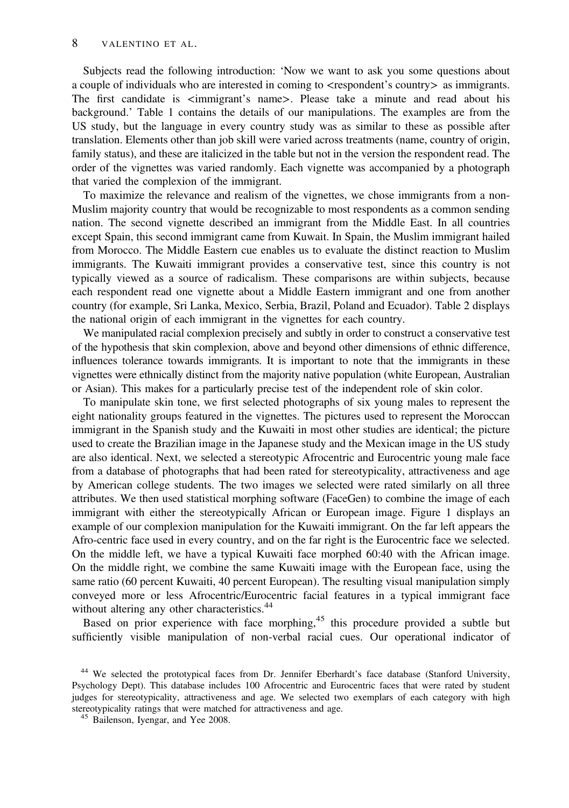Subjects read the following introduction: 'Now we want to ask you some questions about a couple of individuals who are interested in coming to <respondent's country> as immigrants. The first candidate is  $\leq$  immigrant's name $\geq$ . Please take a minute and read about his background.' Table 1 contains the details of our manipulations. The examples are from the US study, but the language in every country study was as similar to these as possible after translation. Elements other than job skill were varied across treatments (name, country of origin, family status), and these are italicized in the table but not in the version the respondent read. The order of the vignettes was varied randomly. Each vignette was accompanied by a photograph that varied the complexion of the immigrant.

To maximize the relevance and realism of the vignettes, we chose immigrants from a non-Muslim majority country that would be recognizable to most respondents as a common sending nation. The second vignette described an immigrant from the Middle East. In all countries except Spain, this second immigrant came from Kuwait. In Spain, the Muslim immigrant hailed from Morocco. The Middle Eastern cue enables us to evaluate the distinct reaction to Muslim immigrants. The Kuwaiti immigrant provides a conservative test, since this country is not typically viewed as a source of radicalism. These comparisons are within subjects, because each respondent read one vignette about a Middle Eastern immigrant and one from another country (for example, Sri Lanka, Mexico, Serbia, Brazil, Poland and Ecuador). Table 2 displays the national origin of each immigrant in the vignettes for each country.

We manipulated racial complexion precisely and subtly in order to construct a conservative test of the hypothesis that skin complexion, above and beyond other dimensions of ethnic difference, influences tolerance towards immigrants. It is important to note that the immigrants in these vignettes were ethnically distinct from the majority native population (white European, Australian or Asian). This makes for a particularly precise test of the independent role of skin color.

To manipulate skin tone, we first selected photographs of six young males to represent the eight nationality groups featured in the vignettes. The pictures used to represent the Moroccan immigrant in the Spanish study and the Kuwaiti in most other studies are identical; the picture used to create the Brazilian image in the Japanese study and the Mexican image in the US study are also identical. Next, we selected a stereotypic Afrocentric and Eurocentric young male face from a database of photographs that had been rated for stereotypicality, attractiveness and age by American college students. The two images we selected were rated similarly on all three attributes. We then used statistical morphing software (FaceGen) to combine the image of each immigrant with either the stereotypically African or European image. [Figure 1](#page-9-0) displays an example of our complexion manipulation for the Kuwaiti immigrant. On the far left appears the Afro-centric face used in every country, and on the far right is the Eurocentric face we selected. On the middle left, we have a typical Kuwaiti face morphed 60:40 with the African image. On the middle right, we combine the same Kuwaiti image with the European face, using the same ratio (60 percent Kuwaiti, 40 percent European). The resulting visual manipulation simply conveyed more or less Afrocentric/Eurocentric facial features in a typical immigrant face without altering any other characteristics.<sup>44</sup>

Based on prior experience with face morphing, $45$  this procedure provided a subtle but sufficiently visible manipulation of non-verbal racial cues. Our operational indicator of

<sup>44</sup> We selected the prototypical faces from Dr. Jennifer Eberhardt's face database (Stanford University, Psychology Dept). This database includes 100 Afrocentric and Eurocentric faces that were rated by student judges for stereotypicality, attractiveness and age. We selected two exemplars of each category with high stereotypicality ratings that were matched for attractiveness and age. <sup>45</sup> Bailenson, Iyengar, and Yee [2008.](#page-22-0)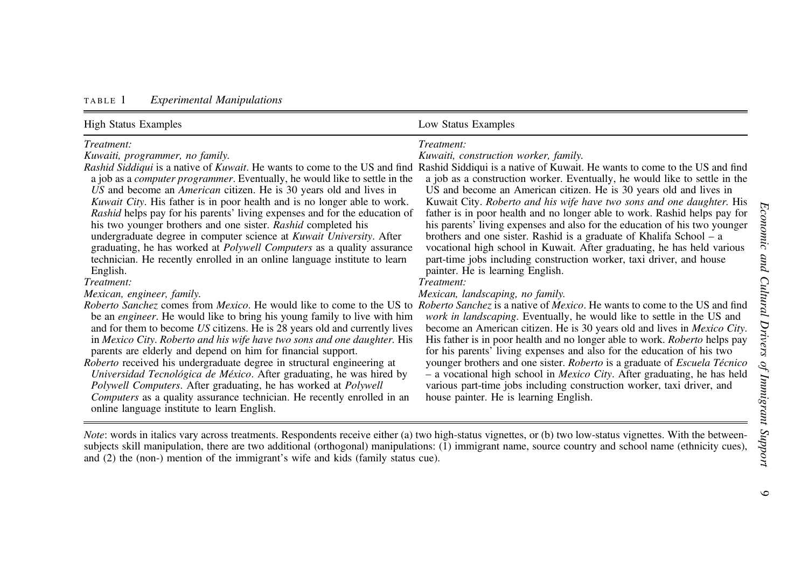| <b>High Status Examples</b>                                                                                                                                                                                                                                                                                                                                                                                                                                                                                                                                                                                                                                                                                                | Low Status Examples                                                                                                                                                                                                                                                                                                                                                                                                                                                                                                                                                                                                                                                                                                                                                                                                                                                  |
|----------------------------------------------------------------------------------------------------------------------------------------------------------------------------------------------------------------------------------------------------------------------------------------------------------------------------------------------------------------------------------------------------------------------------------------------------------------------------------------------------------------------------------------------------------------------------------------------------------------------------------------------------------------------------------------------------------------------------|----------------------------------------------------------------------------------------------------------------------------------------------------------------------------------------------------------------------------------------------------------------------------------------------------------------------------------------------------------------------------------------------------------------------------------------------------------------------------------------------------------------------------------------------------------------------------------------------------------------------------------------------------------------------------------------------------------------------------------------------------------------------------------------------------------------------------------------------------------------------|
| Treatment:<br>Kuwaiti, programmer, no family.<br>a job as a <i>computer programmer</i> . Eventually, he would like to settle in the<br>US and become an <i>American</i> citizen. He is 30 years old and lives in<br><i>Kuwait City</i> . His father is in poor health and is no longer able to work.<br><i>Rashid</i> helps pay for his parents' living expenses and for the education of<br>his two younger brothers and one sister. Rashid completed his<br>undergraduate degree in computer science at <i>Kuwait University</i> . After<br>graduating, he has worked at <i>Polywell Computers</i> as a quality assurance<br>technician. He recently enrolled in an online language institute to learn<br>English.       | Treatment:<br>Kuwaiti, construction worker, family.<br>Rashid Siddiqui is a native of Kuwait. He wants to come to the US and find Rashid Siddiqui is a native of Kuwait. He wants to come to the US and find<br>a job as a construction worker. Eventually, he would like to settle in the<br>US and become an American citizen. He is 30 years old and lives in<br>Kuwait City. Roberto and his wife have two sons and one daughter. His<br>father is in poor health and no longer able to work. Rashid helps pay for<br>his parents' living expenses and also for the education of his two younger<br>brothers and one sister. Rashid is a graduate of Khalifa School $-$ a<br>vocational high school in Kuwait. After graduating, he has held various<br>part-time jobs including construction worker, taxi driver, and house<br>painter. He is learning English. |
| Treatment:<br>Mexican, engineer, family.<br>be an <i>engineer</i> . He would like to bring his young family to live with him<br>and for them to become US citizens. He is 28 years old and currently lives<br>in Mexico City. Roberto and his wife have two sons and one daughter. His<br>parents are elderly and depend on him for financial support.<br>Roberto received his undergraduate degree in structural engineering at<br>Universidad Tecnológica de México. After graduating, he was hired by<br><i>Polywell Computers.</i> After graduating, he has worked at <i>Polywell</i><br><i>Computers</i> as a quality assurance technician. He recently enrolled in an<br>online language institute to learn English. | Treatment:<br>Mexican, landscaping, no family.<br>Roberto Sanchez comes from Mexico. He would like to come to the US to Roberto Sanchez is a native of Mexico. He wants to come to the US and find<br><i>work in landscaping.</i> Eventually, he would like to settle in the US and<br>become an American citizen. He is 30 years old and lives in <i>Mexico City</i> .<br>His father is in poor health and no longer able to work. <i>Roberto</i> helps pay<br>for his parents' living expenses and also for the education of his two<br>younger brothers and one sister. Roberto is a graduate of <i>Escuela Técnico</i><br>$-$ a vocational high school in <i>Mexico City</i> . After graduating, he has held<br>various part-time jobs including construction worker, taxi driver, and<br>house painter. He is learning English.                                 |

Note: words in italics vary across treatments. Respondents receive either (a) two high-status vignettes, or (b) two low-status vignettes. With the betweensubjects skill manipulation, there are two additional (orthogonal) manipulations: (1) immigrant name, source country and school name (ethnicity cues), and (2) the (non-) mention of the immigrant'<sup>s</sup> wife and kids (family status cue).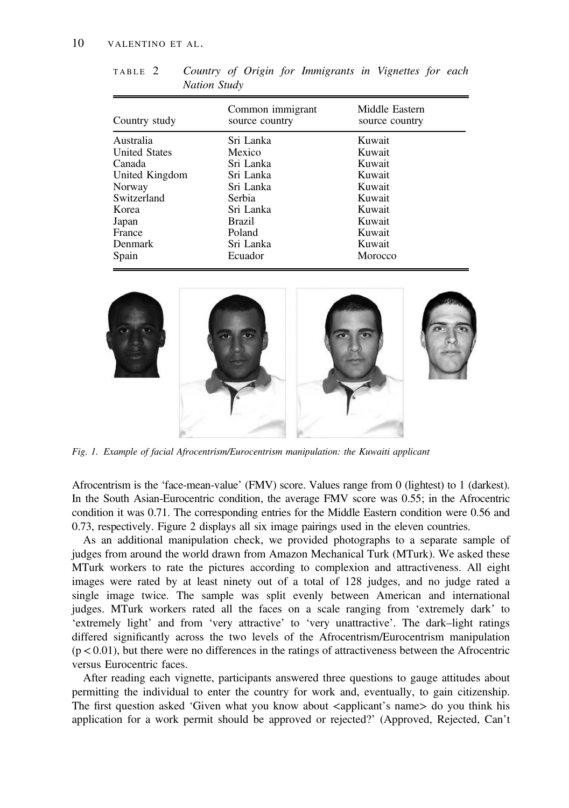| Country study        | Common immigrant<br>source country | Middle Eastern<br>source country |
|----------------------|------------------------------------|----------------------------------|
| Australia            | Sri Lanka                          | Kuwait                           |
| <b>United States</b> | Mexico                             | Kuwait                           |
| Canada               | Sri Lanka                          | Kuwait                           |
| United Kingdom       | Sri Lanka                          | Kuwait                           |
| Norway               | Sri Lanka                          | Kuwait                           |
| Switzerland          | Serbia                             | Kuwait                           |
| Korea                | Sri Lanka                          | Kuwait                           |
| Japan                | <b>Brazil</b>                      | Kuwait                           |
| France               | Poland                             | Kuwait                           |
| <b>Denmark</b>       | Sri Lanka                          | Kuwait                           |
| Spain                | Ecuador                            | Morocco                          |

<span id="page-9-0"></span>TABLE 2 Country of Origin for Immigrants in Vignettes for each Nation Study



Fig. 1. Example of facial Afrocentrism/Eurocentrism manipulation: the Kuwaiti applicant

Afrocentrism is the 'face-mean-value' (FMV) score. Values range from 0 (lightest) to 1 (darkest). In the South Asian-Eurocentric condition, the average FMV score was 0.55; in the Afrocentric condition it was 0.71. The corresponding entries for the Middle Eastern condition were 0.56 and 0.73, respectively. [Figure 2](#page-10-0) displays all six image pairings used in the eleven countries.

As an additional manipulation check, we provided photographs to a separate sample of judges from around the world drawn from Amazon Mechanical Turk (MTurk). We asked these MTurk workers to rate the pictures according to complexion and attractiveness. All eight images were rated by at least ninety out of a total of 128 judges, and no judge rated a single image twice. The sample was split evenly between American and international judges. MTurk workers rated all the faces on a scale ranging from 'extremely dark' to 'extremely light' and from 'very attractive' to 'very unattractive'. The dark–light ratings differed significantly across the two levels of the Afrocentrism/Eurocentrism manipulation  $(p<0.01)$ , but there were no differences in the ratings of attractiveness between the Afrocentric versus Eurocentric faces.

After reading each vignette, participants answered three questions to gauge attitudes about permitting the individual to enter the country for work and, eventually, to gain citizenship. The first question asked 'Given what you know about  $\langle$  applicant's name  $>$  do you think his application for a work permit should be approved or rejected?' (Approved, Rejected, Can't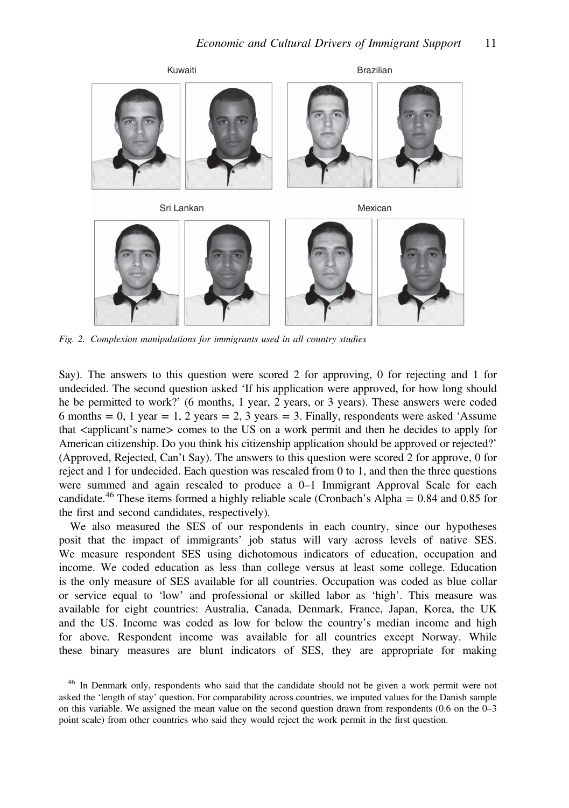<span id="page-10-0"></span>

Fig. 2. Complexion manipulations for immigrants used in all country studies

Say). The answers to this question were scored 2 for approving, 0 for rejecting and 1 for undecided. The second question asked 'If his application were approved, for how long should he be permitted to work?' (6 months, 1 year, 2 years, or 3 years). These answers were coded 6 months = 0, 1 year = 1, 2 years = 2, 3 years = 3. Finally, respondents were asked 'Assume that <applicant's name> comes to the US on a work permit and then he decides to apply for American citizenship. Do you think his citizenship application should be approved or rejected?' (Approved, Rejected, Can't Say). The answers to this question were scored 2 for approve, 0 for reject and 1 for undecided. Each question was rescaled from 0 to 1, and then the three questions were summed and again rescaled to produce a 0–1 Immigrant Approval Scale for each candidate.<sup>46</sup> These items formed a highly reliable scale (Cronbach's Alpha =  $0.84$  and  $0.85$  for the first and second candidates, respectively).

We also measured the SES of our respondents in each country, since our hypotheses posit that the impact of immigrants' job status will vary across levels of native SES. We measure respondent SES using dichotomous indicators of education, occupation and income. We coded education as less than college versus at least some college. Education is the only measure of SES available for all countries. Occupation was coded as blue collar or service equal to 'low' and professional or skilled labor as 'high'. This measure was available for eight countries: Australia, Canada, Denmark, France, Japan, Korea, the UK and the US. Income was coded as low for below the country's median income and high for above. Respondent income was available for all countries except Norway. While these binary measures are blunt indicators of SES, they are appropriate for making

<sup>&</sup>lt;sup>46</sup> In Denmark only, respondents who said that the candidate should not be given a work permit were not asked the 'length of stay' question. For comparability across countries, we imputed values for the Danish sample on this variable. We assigned the mean value on the second question drawn from respondents (0.6 on the 0–3 point scale) from other countries who said they would reject the work permit in the first question.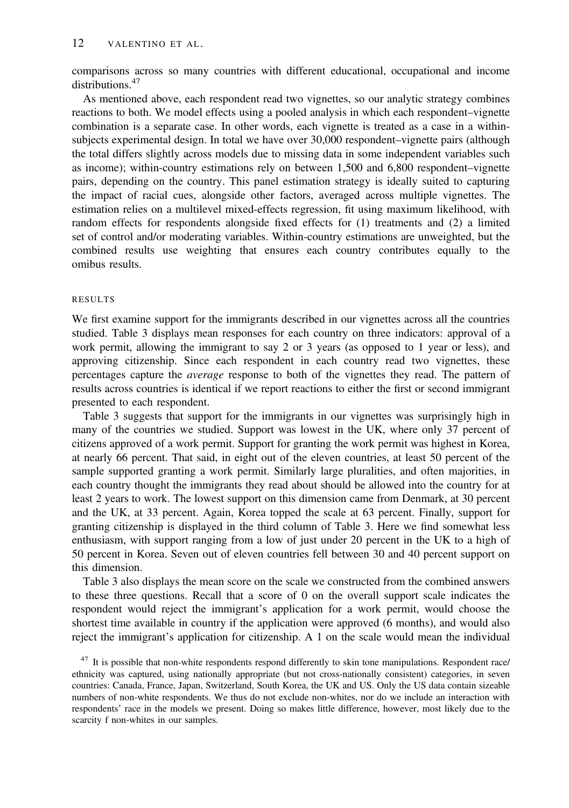comparisons across so many countries with different educational, occupational and income distributions.<sup>47</sup>

As mentioned above, each respondent read two vignettes, so our analytic strategy combines reactions to both. We model effects using a pooled analysis in which each respondent–vignette combination is a separate case. In other words, each vignette is treated as a case in a withinsubjects experimental design. In total we have over 30,000 respondent–vignette pairs (although the total differs slightly across models due to missing data in some independent variables such as income); within-country estimations rely on between 1,500 and 6,800 respondent–vignette pairs, depending on the country. This panel estimation strategy is ideally suited to capturing the impact of racial cues, alongside other factors, averaged across multiple vignettes. The estimation relies on a multilevel mixed-effects regression, fit using maximum likelihood, with random effects for respondents alongside fixed effects for (1) treatments and (2) a limited set of control and/or moderating variables. Within-country estimations are unweighted, but the combined results use weighting that ensures each country contributes equally to the omibus results.

#### RESULTS

We first examine support for the immigrants described in our vignettes across all the countries studied. Table 3 displays mean responses for each country on three indicators: approval of a work permit, allowing the immigrant to say 2 or 3 years (as opposed to 1 year or less), and approving citizenship. Since each respondent in each country read two vignettes, these percentages capture the average response to both of the vignettes they read. The pattern of results across countries is identical if we report reactions to either the first or second immigrant presented to each respondent.

Table 3 suggests that support for the immigrants in our vignettes was surprisingly high in many of the countries we studied. Support was lowest in the UK, where only 37 percent of citizens approved of a work permit. Support for granting the work permit was highest in Korea, at nearly 66 percent. That said, in eight out of the eleven countries, at least 50 percent of the sample supported granting a work permit. Similarly large pluralities, and often majorities, in each country thought the immigrants they read about should be allowed into the country for at least 2 years to work. The lowest support on this dimension came from Denmark, at 30 percent and the UK, at 33 percent. Again, Korea topped the scale at 63 percent. Finally, support for granting citizenship is displayed in the third column of Table 3. Here we find somewhat less enthusiasm, with support ranging from a low of just under 20 percent in the UK to a high of 50 percent in Korea. Seven out of eleven countries fell between 30 and 40 percent support on this dimension.

Table 3 also displays the mean score on the scale we constructed from the combined answers to these three questions. Recall that a score of 0 on the overall support scale indicates the respondent would reject the immigrant's application for a work permit, would choose the shortest time available in country if the application were approved (6 months), and would also reject the immigrant's application for citizenship. A 1 on the scale would mean the individual

<sup>47</sup> It is possible that non-white respondents respond differently to skin tone manipulations. Respondent race/ ethnicity was captured, using nationally appropriate (but not cross-nationally consistent) categories, in seven countries: Canada, France, Japan, Switzerland, South Korea, the UK and US. Only the US data contain sizeable numbers of non-white respondents. We thus do not exclude non-whites, nor do we include an interaction with respondents' race in the models we present. Doing so makes little difference, however, most likely due to the scarcity f non-whites in our samples.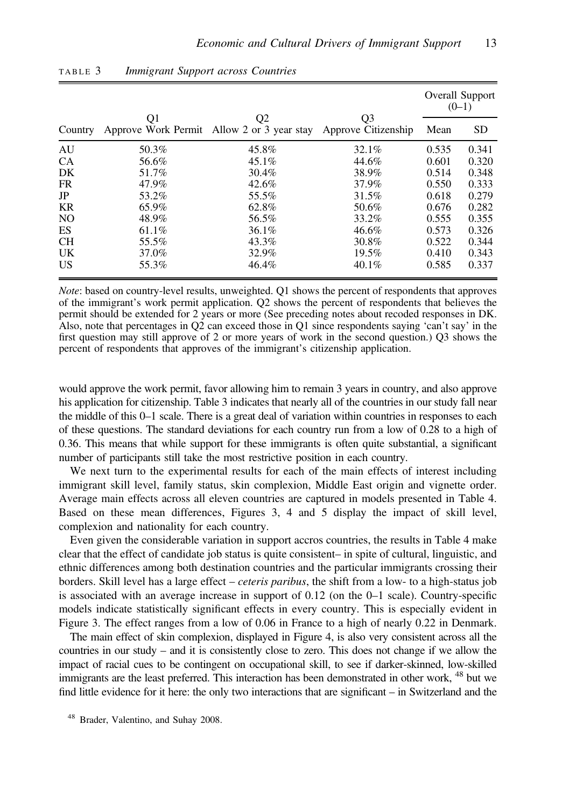|                 |       |                                                              |                                       | Overall Support<br>$(0-1)$ |           |
|-----------------|-------|--------------------------------------------------------------|---------------------------------------|----------------------------|-----------|
| Country         | Q1    | Q <sub>2</sub><br>Approve Work Permit Allow 2 or 3 year stay | Q <sub>3</sub><br>Approve Citizenship | Mean                       | <b>SD</b> |
| AU              | 50.3% | 45.8%                                                        | $32.1\%$                              | 0.535                      | 0.341     |
| <b>CA</b>       | 56.6% | $45.1\%$                                                     | 44.6%                                 | 0.601                      | 0.320     |
| DK              | 51.7% | $30.4\%$                                                     | 38.9%                                 | 0.514                      | 0.348     |
| <b>FR</b>       | 47.9% | 42.6%                                                        | 37.9%                                 | 0.550                      | 0.333     |
| JP              | 53.2% | 55.5%                                                        | 31.5%                                 | 0.618                      | 0.279     |
| <b>KR</b>       | 65.9% | 62.8%                                                        | 50.6%                                 | 0.676                      | 0.282     |
| N <sub>O</sub>  | 48.9% | 56.5%                                                        | 33.2%                                 | 0.555                      | 0.355     |
| ES              | 61.1% | 36.1%                                                        | 46.6%                                 | 0.573                      | 0.326     |
| <b>CH</b>       | 55.5% | 43.3%                                                        | 30.8%                                 | 0.522                      | 0.344     |
| UK              | 37.0% | 32.9%                                                        | $19.5\%$                              | 0.410                      | 0.343     |
| US <sup>-</sup> | 55.3% | 46.4%                                                        | $40.1\%$                              | 0.585                      | 0.337     |

TABLE 3 Immigrant Support across Countries

Note: based on country-level results, unweighted. Q1 shows the percent of respondents that approves of the immigrant's work permit application. Q2 shows the percent of respondents that believes the permit should be extended for 2 years or more (See preceding notes about recoded responses in DK. Also, note that percentages in Q2 can exceed those in Q1 since respondents saying 'can't say' in the first question may still approve of 2 or more years of work in the second question.) Q3 shows the percent of respondents that approves of the immigrant's citizenship application.

would approve the work permit, favor allowing him to remain 3 years in country, and also approve his application for citizenship. Table 3 indicates that nearly all of the countries in our study fall near the middle of this 0–1 scale. There is a great deal of variation within countries in responses to each of these questions. The standard deviations for each country run from a low of 0.28 to a high of 0.36. This means that while support for these immigrants is often quite substantial, a significant number of participants still take the most restrictive position in each country.

We next turn to the experimental results for each of the main effects of interest including immigrant skill level, family status, skin complexion, Middle East origin and vignette order. Average main effects across all eleven countries are captured in models presented in Table 4. Based on these mean differences, [Figures 3,](#page-14-0) [4](#page-15-0) and [5](#page-16-0) display the impact of skill level, complexion and nationality for each country.

Even given the considerable variation in support accros countries, the results in Table 4 make clear that the effect of candidate job status is quite consistent– in spite of cultural, linguistic, and ethnic differences among both destination countries and the particular immigrants crossing their borders. Skill level has a large effect – *ceteris paribus*, the shift from a low- to a high-status job is associated with an average increase in support of 0.12 (on the 0–1 scale). Country-specific models indicate statistically significant effects in every country. This is especially evident in [Figure 3.](#page-14-0) The effect ranges from a low of 0.06 in France to a high of nearly 0.22 in Denmark.

The main effect of skin complexion, displayed in [Figure 4](#page-15-0), is also very consistent across all the countries in our study – and it is consistently close to zero. This does not change if we allow the impact of racial cues to be contingent on occupational skill, to see if darker-skinned, low-skilled immigrants are the least preferred. This interaction has been demonstrated in other work, <sup>48</sup> but we find little evidence for it here: the only two interactions that are significant – in Switzerland and the

<sup>48</sup> Brader, Valentino, and Suhay [2008.](#page-23-0)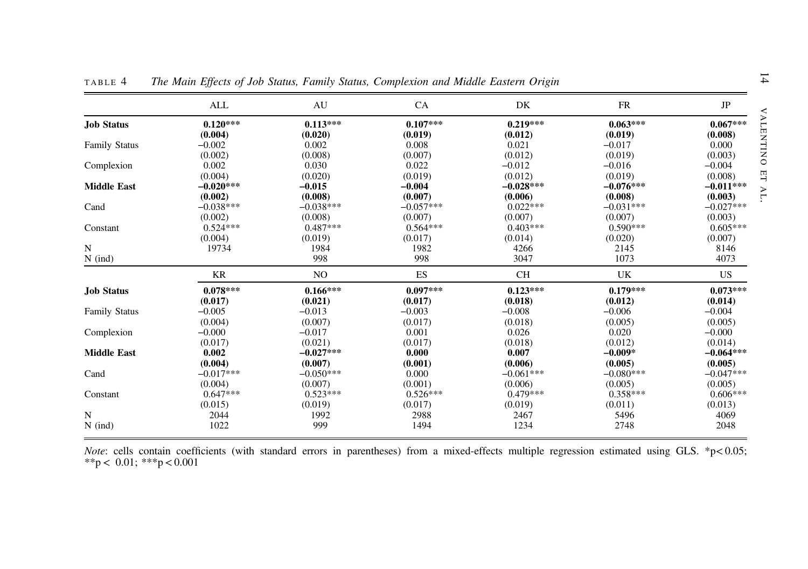|                      | ALL         | AU          | CA          | DK          | <b>FR</b>   | JP          |
|----------------------|-------------|-------------|-------------|-------------|-------------|-------------|
| <b>Job Status</b>    | $0.120***$  | $0.113***$  | $0.107***$  | $0.219***$  | $0.063***$  | $0.067***$  |
|                      | (0.004)     | (0.020)     | (0.019)     | (0.012)     | (0.019)     | (0.008)     |
| <b>Family Status</b> | $-0.002$    | 0.002       | 0.008       | 0.021       | $-0.017$    | 0.000       |
|                      | (0.002)     | (0.008)     | (0.007)     | (0.012)     | (0.019)     | (0.003)     |
| Complexion           | 0.002       | 0.030       | 0.022       | $-0.012$    | $-0.016$    | $-0.004$    |
|                      | (0.004)     | (0.020)     | (0.019)     | (0.012)     | (0.019)     | (0.008)     |
| <b>Middle East</b>   | $-0.020***$ | $-0.015$    | $-0.004$    | $-0.028***$ | $-0.076***$ | $-0.011***$ |
|                      | (0.002)     | (0.008)     | (0.007)     | (0.006)     | (0.008)     | (0.003)     |
| Cand                 | $-0.038***$ | $-0.038***$ | $-0.057***$ | $0.022***$  | $-0.031***$ | $-0.027***$ |
|                      | (0.002)     | (0.008)     | (0.007)     | (0.007)     | (0.007)     | (0.003)     |
| Constant             | $0.524***$  | $0.487***$  | $0.564***$  | $0.403***$  | $0.590***$  | $0.605***$  |
|                      | (0.004)     | (0.019)     | (0.017)     | (0.014)     | (0.020)     | (0.007)     |
| N                    | 19734       | 1984        | 1982        | 4266        | 2145        | 8146        |
| $N$ (ind)            |             | 998         | 998         | 3047        | 1073        | 4073        |
|                      | $\rm KR$    | $NO$        | ES          | <b>CH</b>   | UK          | US          |
| <b>Job Status</b>    | $0.078***$  | $0.166***$  | $0.097***$  | $0.123***$  | $0.179***$  | $0.073***$  |
|                      | (0.017)     | (0.021)     | (0.017)     | (0.018)     | (0.012)     | (0.014)     |
| <b>Family Status</b> | $-0.005$    | $-0.013$    | $-0.003$    | $-0.008$    | $-0.006$    | $-0.004$    |
|                      | (0.004)     | (0.007)     | (0.017)     | (0.018)     | (0.005)     | (0.005)     |
| Complexion           | $-0.000$    | $-0.017$    | 0.001       | 0.026       | 0.020       | $-0.000$    |
|                      | (0.017)     | (0.021)     | (0.017)     | (0.018)     | (0.012)     | (0.014)     |
| <b>Middle East</b>   | 0.002       | $-0.027***$ | 0.000       | 0.007       | $-0.009*$   | $-0.064***$ |
|                      | (0.004)     | (0.007)     | (0.001)     | (0.006)     | (0.005)     | (0.005)     |
| Cand                 | $-0.017***$ | $-0.050***$ | 0.000       | $-0.061***$ | $-0.080***$ | $-0.047***$ |
|                      | (0.004)     | (0.007)     | (0.001)     | (0.006)     | (0.005)     | (0.005)     |
| Constant             | $0.647***$  | $0.523***$  | $0.526***$  | $0.479***$  | $0.358***$  | $0.606***$  |
|                      | (0.015)     | (0.019)     | (0.017)     | (0.019)     | (0.011)     | (0.013)     |
| N                    | 2044        | 1992        | 2988        | 2467        | 5496        | 4069        |
| $N$ (ind)            | 1022        | 999         | 1494        | 1234        | 2748        | 2048        |

TABLE 4 4 The Main Effects of Job Status, Family Status, Complexion and Middle Eastern Origin

Note: cells contain coefficients (with standard errors in parentheses) from a mixed-effects multiple regression estimated using GLS. \*p<0.05; \*\*p <sup>&</sup>lt; 0.01; \*\*\*p<0.001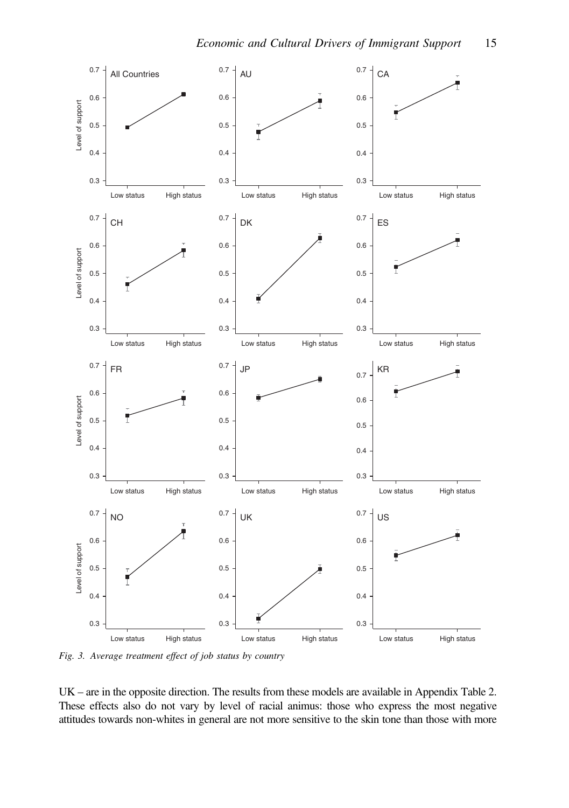<span id="page-14-0"></span>

Fig. 3. Average treatment effect of job status by country

UK – are in the opposite direction. The results from these models are available in Appendix Table 2. These effects also do not vary by level of racial animus: those who express the most negative attitudes towards non-whites in general are not more sensitive to the skin tone than those with more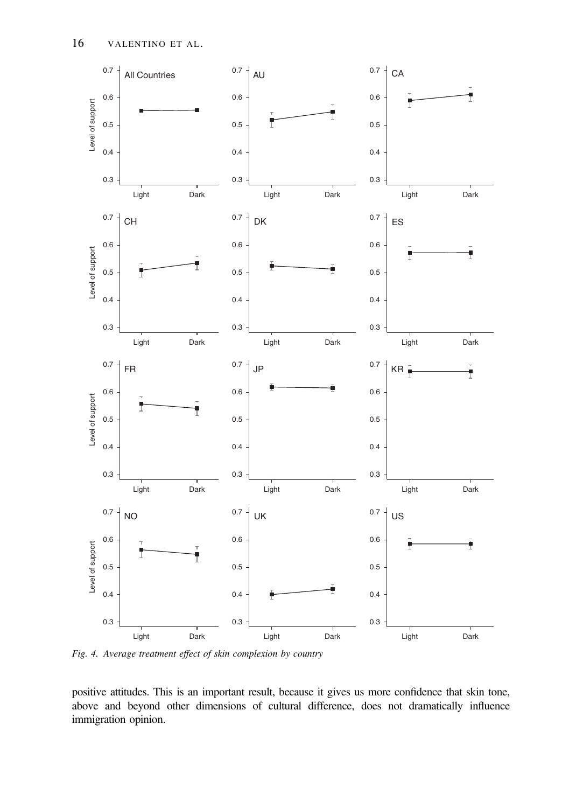<span id="page-15-0"></span>

Fig. 4. Average treatment effect of skin complexion by country

positive attitudes. This is an important result, because it gives us more confidence that skin tone, above and beyond other dimensions of cultural difference, does not dramatically influence immigration opinion.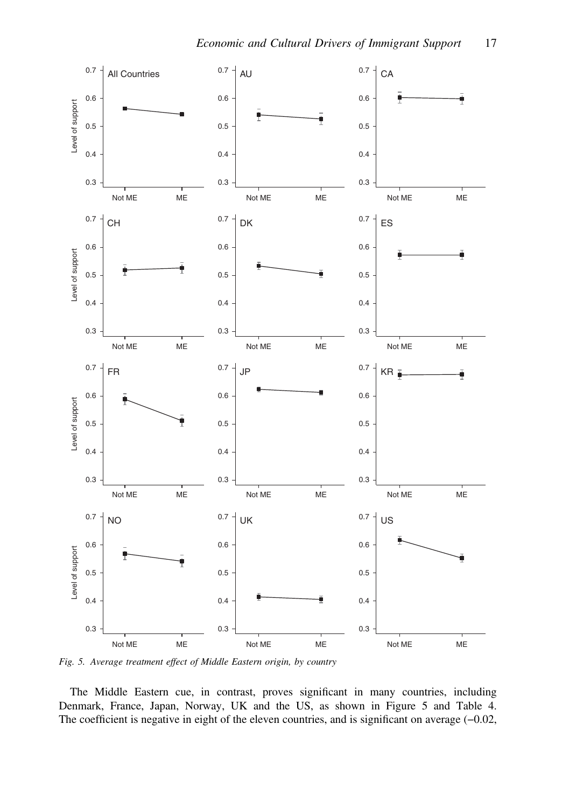<span id="page-16-0"></span>

Fig. 5. Average treatment effect of Middle Eastern origin, by country

The Middle Eastern cue, in contrast, proves significant in many countries, including Denmark, France, Japan, Norway, UK and the US, as shown in Figure 5 and Table 4. The coefficient is negative in eight of the eleven countries, and is significant on average (−0.02,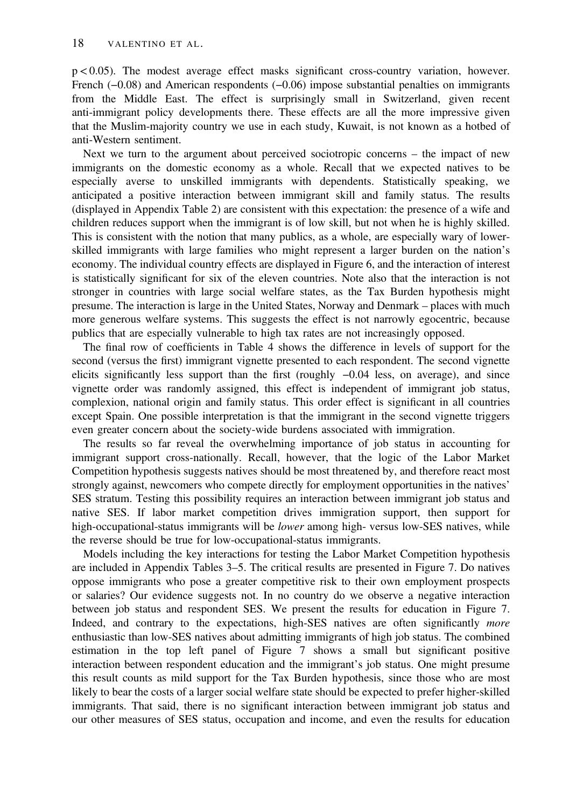p< 0.05). The modest average effect masks significant cross-country variation, however. French (−0.08) and American respondents (−0.06) impose substantial penalties on immigrants from the Middle East. The effect is surprisingly small in Switzerland, given recent anti-immigrant policy developments there. These effects are all the more impressive given that the Muslim-majority country we use in each study, Kuwait, is not known as a hotbed of anti-Western sentiment.

Next we turn to the argument about perceived sociotropic concerns – the impact of new immigrants on the domestic economy as a whole. Recall that we expected natives to be especially averse to unskilled immigrants with dependents. Statistically speaking, we anticipated a positive interaction between immigrant skill and family status. The results (displayed in Appendix Table 2) are consistent with this expectation: the presence of a wife and children reduces support when the immigrant is of low skill, but not when he is highly skilled. This is consistent with the notion that many publics, as a whole, are especially wary of lowerskilled immigrants with large families who might represent a larger burden on the nation's economy. The individual country effects are displayed in [Figure 6](#page-18-0), and the interaction of interest is statistically significant for six of the eleven countries. Note also that the interaction is not stronger in countries with large social welfare states, as the Tax Burden hypothesis might presume. The interaction is large in the United States, Norway and Denmark – places with much more generous welfare systems. This suggests the effect is not narrowly egocentric, because publics that are especially vulnerable to high tax rates are not increasingly opposed.

The final row of coefficients in Table 4 shows the difference in levels of support for the second (versus the first) immigrant vignette presented to each respondent. The second vignette elicits significantly less support than the first (roughly −0.04 less, on average), and since vignette order was randomly assigned, this effect is independent of immigrant job status, complexion, national origin and family status. This order effect is significant in all countries except Spain. One possible interpretation is that the immigrant in the second vignette triggers even greater concern about the society-wide burdens associated with immigration.

The results so far reveal the overwhelming importance of job status in accounting for immigrant support cross-nationally. Recall, however, that the logic of the Labor Market Competition hypothesis suggests natives should be most threatened by, and therefore react most strongly against, newcomers who compete directly for employment opportunities in the natives' SES stratum. Testing this possibility requires an interaction between immigrant job status and native SES. If labor market competition drives immigration support, then support for high-occupational-status immigrants will be *lower* among high-versus low-SES natives, while the reverse should be true for low-occupational-status immigrants.

Models including the key interactions for testing the Labor Market Competition hypothesis are included in Appendix Tables 3–5. The critical results are presented in [Figure 7.](#page-19-0) Do natives oppose immigrants who pose a greater competitive risk to their own employment prospects or salaries? Our evidence suggests not. In no country do we observe a negative interaction between job status and respondent SES. We present the results for education in [Figure 7.](#page-19-0) Indeed, and contrary to the expectations, high-SES natives are often significantly more enthusiastic than low-SES natives about admitting immigrants of high job status. The combined estimation in the top left panel of [Figure 7](#page-19-0) shows a small but significant positive interaction between respondent education and the immigrant's job status. One might presume this result counts as mild support for the Tax Burden hypothesis, since those who are most likely to bear the costs of a larger social welfare state should be expected to prefer higher-skilled immigrants. That said, there is no significant interaction between immigrant job status and our other measures of SES status, occupation and income, and even the results for education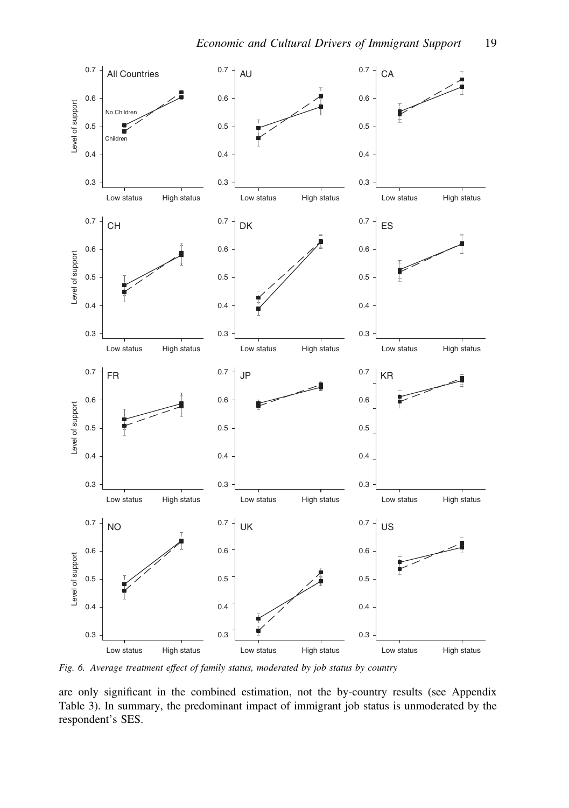<span id="page-18-0"></span>

Fig. 6. Average treatment effect of family status, moderated by job status by country

are only significant in the combined estimation, not the by-country results (see Appendix Table 3). In summary, the predominant impact of immigrant job status is unmoderated by the respondent's SES.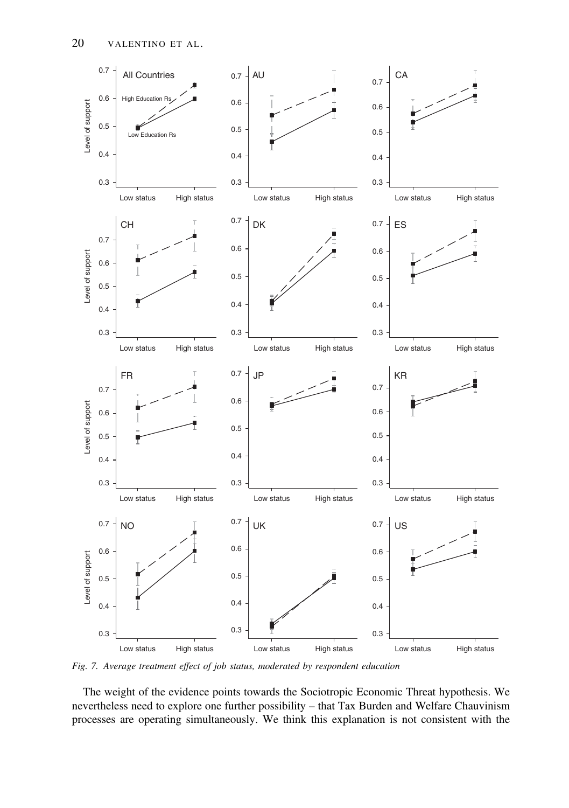<span id="page-19-0"></span>

Fig. 7. Average treatment effect of job status, moderated by respondent education

The weight of the evidence points towards the Sociotropic Economic Threat hypothesis. We nevertheless need to explore one further possibility – that Tax Burden and Welfare Chauvinism processes are operating simultaneously. We think this explanation is not consistent with the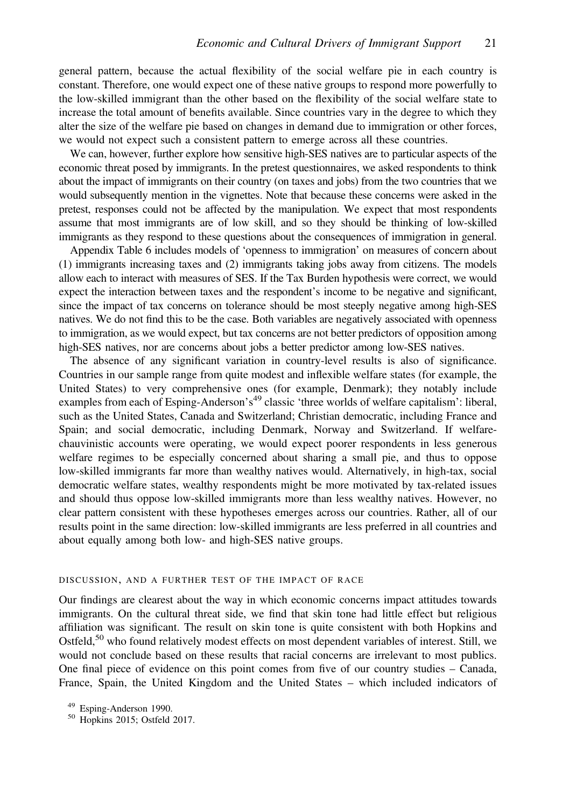general pattern, because the actual flexibility of the social welfare pie in each country is constant. Therefore, one would expect one of these native groups to respond more powerfully to the low-skilled immigrant than the other based on the flexibility of the social welfare state to increase the total amount of benefits available. Since countries vary in the degree to which they alter the size of the welfare pie based on changes in demand due to immigration or other forces, we would not expect such a consistent pattern to emerge across all these countries.

We can, however, further explore how sensitive high-SES natives are to particular aspects of the economic threat posed by immigrants. In the pretest questionnaires, we asked respondents to think about the impact of immigrants on their country (on taxes and jobs) from the two countries that we would subsequently mention in the vignettes. Note that because these concerns were asked in the pretest, responses could not be affected by the manipulation. We expect that most respondents assume that most immigrants are of low skill, and so they should be thinking of low-skilled immigrants as they respond to these questions about the consequences of immigration in general.

Appendix Table 6 includes models of 'openness to immigration' on measures of concern about (1) immigrants increasing taxes and (2) immigrants taking jobs away from citizens. The models allow each to interact with measures of SES. If the Tax Burden hypothesis were correct, we would expect the interaction between taxes and the respondent's income to be negative and significant, since the impact of tax concerns on tolerance should be most steeply negative among high-SES natives. We do not find this to be the case. Both variables are negatively associated with openness to immigration, as we would expect, but tax concerns are not better predictors of opposition among high-SES natives, nor are concerns about jobs a better predictor among low-SES natives.

The absence of any significant variation in country-level results is also of significance. Countries in our sample range from quite modest and inflexible welfare states (for example, the United States) to very comprehensive ones (for example, Denmark); they notably include examples from each of Esping-Anderson's<sup>49</sup> classic 'three worlds of welfare capitalism': liberal, such as the United States, Canada and Switzerland; Christian democratic, including France and Spain; and social democratic, including Denmark, Norway and Switzerland. If welfarechauvinistic accounts were operating, we would expect poorer respondents in less generous welfare regimes to be especially concerned about sharing a small pie, and thus to oppose low-skilled immigrants far more than wealthy natives would. Alternatively, in high-tax, social democratic welfare states, wealthy respondents might be more motivated by tax-related issues and should thus oppose low-skilled immigrants more than less wealthy natives. However, no clear pattern consistent with these hypotheses emerges across our countries. Rather, all of our results point in the same direction: low-skilled immigrants are less preferred in all countries and about equally among both low- and high-SES native groups.

## DISCUSSION, AND A FURTHER TEST OF THE IMPACT OF RACE

Our findings are clearest about the way in which economic concerns impact attitudes towards immigrants. On the cultural threat side, we find that skin tone had little effect but religious affiliation was significant. The result on skin tone is quite consistent with both Hopkins and Ostfeld,<sup>50</sup> who found relatively modest effects on most dependent variables of interest. Still, we would not conclude based on these results that racial concerns are irrelevant to most publics. One final piece of evidence on this point comes from five of our country studies – Canada, France, Spain, the United Kingdom and the United States – which included indicators of

 $^{49}$  Esping-Anderson [1990.](#page-23-0)<br> $^{50}$  Hopkins [2015](#page-24-0); Ostfeld [2017](#page-24-0).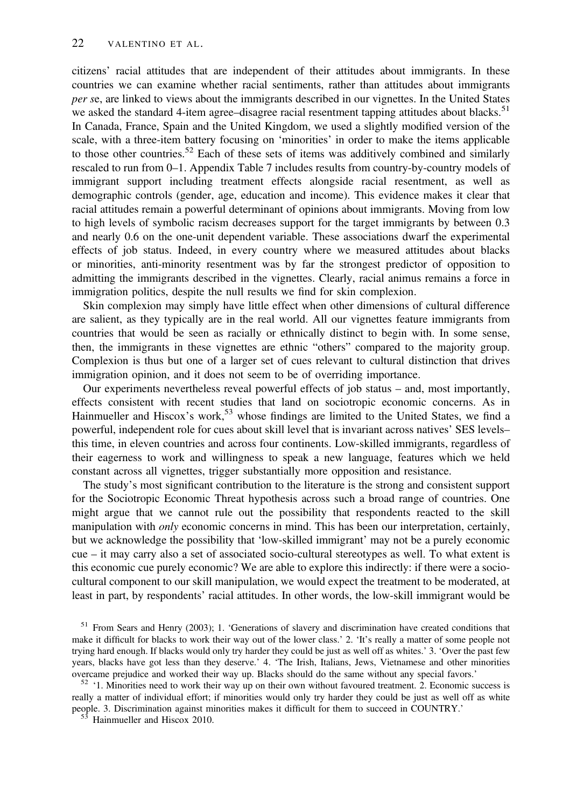citizens' racial attitudes that are independent of their attitudes about immigrants. In these countries we can examine whether racial sentiments, rather than attitudes about immigrants per se, are linked to views about the immigrants described in our vignettes. In the United States we asked the standard 4-item agree–disagree racial resentment tapping attitudes about blacks.<sup>51</sup> In Canada, France, Spain and the United Kingdom, we used a slightly modified version of the scale, with a three-item battery focusing on 'minorities' in order to make the items applicable to those other countries.<sup>52</sup> Each of these sets of items was additively combined and similarly rescaled to run from 0–1. Appendix Table 7 includes results from country-by-country models of immigrant support including treatment effects alongside racial resentment, as well as demographic controls (gender, age, education and income). This evidence makes it clear that racial attitudes remain a powerful determinant of opinions about immigrants. Moving from low to high levels of symbolic racism decreases support for the target immigrants by between 0.3 and nearly 0.6 on the one-unit dependent variable. These associations dwarf the experimental effects of job status. Indeed, in every country where we measured attitudes about blacks or minorities, anti-minority resentment was by far the strongest predictor of opposition to admitting the immigrants described in the vignettes. Clearly, racial animus remains a force in immigration politics, despite the null results we find for skin complexion.

Skin complexion may simply have little effect when other dimensions of cultural difference are salient, as they typically are in the real world. All our vignettes feature immigrants from countries that would be seen as racially or ethnically distinct to begin with. In some sense, then, the immigrants in these vignettes are ethnic "others" compared to the majority group. Complexion is thus but one of a larger set of cues relevant to cultural distinction that drives immigration opinion, and it does not seem to be of overriding importance.

Our experiments nevertheless reveal powerful effects of job status – and, most importantly, effects consistent with recent studies that land on sociotropic economic concerns. As in Hainmueller and Hiscox's work,<sup>53</sup> whose findings are limited to the United States, we find a powerful, independent role for cues about skill level that is invariant across natives' SES levels– this time, in eleven countries and across four continents. Low-skilled immigrants, regardless of their eagerness to work and willingness to speak a new language, features which we held constant across all vignettes, trigger substantially more opposition and resistance.

The study's most significant contribution to the literature is the strong and consistent support for the Sociotropic Economic Threat hypothesis across such a broad range of countries. One might argue that we cannot rule out the possibility that respondents reacted to the skill manipulation with *only* economic concerns in mind. This has been our interpretation, certainly, but we acknowledge the possibility that 'low-skilled immigrant' may not be a purely economic cue – it may carry also a set of associated socio-cultural stereotypes as well. To what extent is this economic cue purely economic? We are able to explore this indirectly: if there were a sociocultural component to our skill manipulation, we would expect the treatment to be moderated, at least in part, by respondents' racial attitudes. In other words, the low-skill immigrant would be

<sup>51</sup> From Sears and Henry ([2003\)](#page-24-0); 1. 'Generations of slavery and discrimination have created conditions that make it difficult for blacks to work their way out of the lower class.' 2. 'It's really a matter of some people not trying hard enough. If blacks would only try harder they could be just as well off as whites.' 3. 'Over the past few years, blacks have got less than they deserve.' 4. 'The Irish, Italians, Jews, Vietnamese and other minorities overcame prejudice and worked their way up. Blacks should do the same without any special favors.'<br> $52 \times 1$ . Minorities need to work their way up on their own without favoured treatment. 2. Economic success is

really a matter of individual effort; if minorities would only try harder they could be just as well off as white people. 3. Discrimination against minorities makes it difficult for them to succeed in COUNTRY.' <sup>53</sup> Hainmueller and Hiscox [2010.](#page-23-0)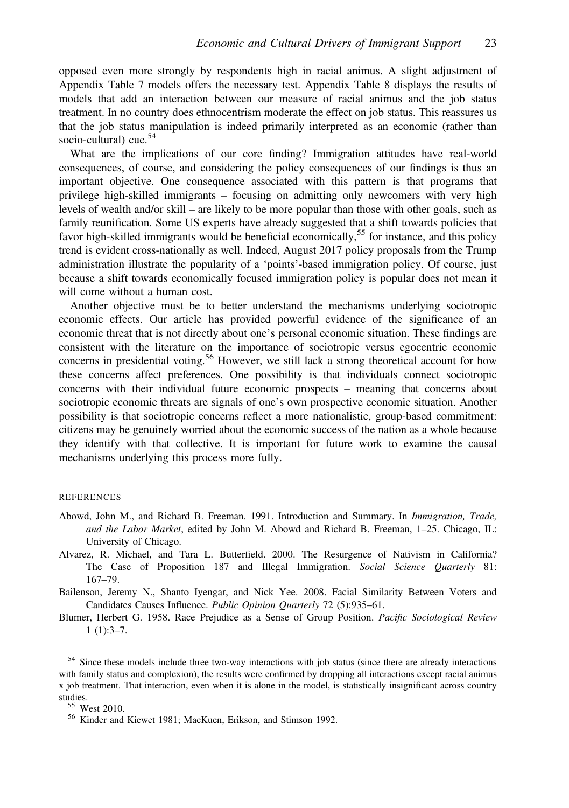<span id="page-22-0"></span>opposed even more strongly by respondents high in racial animus. A slight adjustment of Appendix Table 7 models offers the necessary test. Appendix Table 8 displays the results of models that add an interaction between our measure of racial animus and the job status treatment. In no country does ethnocentrism moderate the effect on job status. This reassures us that the job status manipulation is indeed primarily interpreted as an economic (rather than socio-cultural) cue.<sup>54</sup>

What are the implications of our core finding? Immigration attitudes have real-world consequences, of course, and considering the policy consequences of our findings is thus an important objective. One consequence associated with this pattern is that programs that privilege high-skilled immigrants – focusing on admitting only newcomers with very high levels of wealth and/or skill – are likely to be more popular than those with other goals, such as family reunification. Some US experts have already suggested that a shift towards policies that favor high-skilled immigrants would be beneficial economically,<sup>55</sup> for instance, and this policy trend is evident cross-nationally as well. Indeed, August 2017 policy proposals from the Trump administration illustrate the popularity of a 'points'-based immigration policy. Of course, just because a shift towards economically focused immigration policy is popular does not mean it will come without a human cost.

Another objective must be to better understand the mechanisms underlying sociotropic economic effects. Our article has provided powerful evidence of the significance of an economic threat that is not directly about one's personal economic situation. These findings are consistent with the literature on the importance of sociotropic versus egocentric economic concerns in presidential voting.<sup>56</sup> However, we still lack a strong theoretical account for how these concerns affect preferences. One possibility is that individuals connect sociotropic concerns with their individual future economic prospects – meaning that concerns about sociotropic economic threats are signals of one's own prospective economic situation. Another possibility is that sociotropic concerns reflect a more nationalistic, group-based commitment: citizens may be genuinely worried about the economic success of the nation as a whole because they identify with that collective. It is important for future work to examine the causal mechanisms underlying this process more fully.

#### **REFERENCES**

- Abowd, John M., and Richard B. Freeman. 1991. Introduction and Summary. In Immigration, Trade, and the Labor Market, edited by John M. Abowd and Richard B. Freeman, 1–25. Chicago, IL: University of Chicago.
- Alvarez, R. Michael, and Tara L. Butterfield. 2000. The Resurgence of Nativism in California? The Case of Proposition 187 and Illegal Immigration. Social Science Quarterly 81: 167–79.

Bailenson, Jeremy N., Shanto Iyengar, and Nick Yee. 2008. Facial Similarity Between Voters and Candidates Causes Influence. Public Opinion Quarterly 72 (5):935–61.

Blumer, Herbert G. 1958. Race Prejudice as a Sense of Group Position. Pacific Sociological Review 1 (1):3–7.

<sup>54</sup> Since these models include three two-way interactions with job status (since there are already interactions with family status and complexion), the results were confirmed by dropping all interactions except racial animus x job treatment. That interaction, even when it is alone in the model, is statistically insignificant across country studies.<br><sup>55</sup> West [2010](#page-25-0).<br><sup>56</sup> Kinder and Kiewet [1981](#page-24-0); MacKuen, Erikson, and Stimson [1992.](#page-24-0)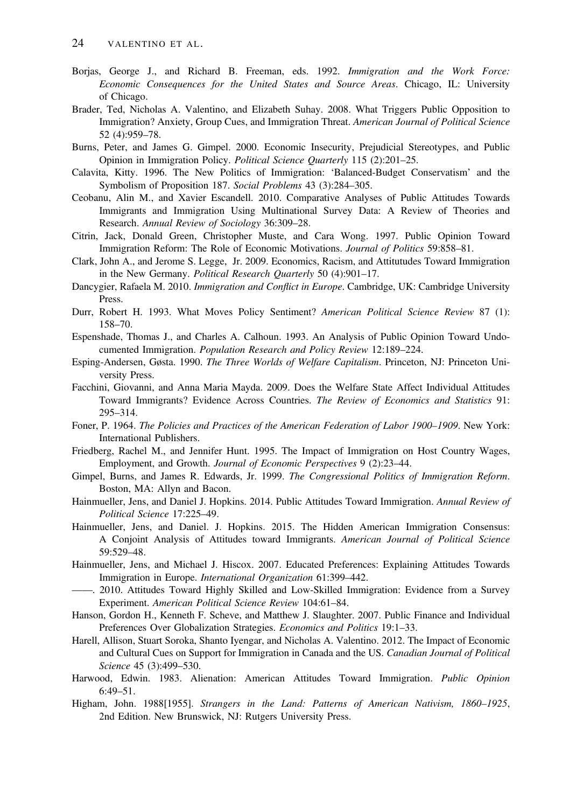- <span id="page-23-0"></span>Borjas, George J., and Richard B. Freeman, eds. 1992. Immigration and the Work Force: Economic Consequences for the United States and Source Areas. Chicago, IL: University of Chicago.
- Brader, Ted, Nicholas A. Valentino, and Elizabeth Suhay. 2008. What Triggers Public Opposition to Immigration? Anxiety, Group Cues, and Immigration Threat. American Journal of Political Science 52 (4):959–78.
- Burns, Peter, and James G. Gimpel. 2000. Economic Insecurity, Prejudicial Stereotypes, and Public Opinion in Immigration Policy. Political Science Quarterly 115 (2):201–25.
- Calavita, Kitty. 1996. The New Politics of Immigration: 'Balanced-Budget Conservatism' and the Symbolism of Proposition 187. Social Problems 43 (3):284–305.
- Ceobanu, Alin M., and Xavier Escandell. 2010. Comparative Analyses of Public Attitudes Towards Immigrants and Immigration Using Multinational Survey Data: A Review of Theories and Research. Annual Review of Sociology 36:309–28.
- Citrin, Jack, Donald Green, Christopher Muste, and Cara Wong. 1997. Public Opinion Toward Immigration Reform: The Role of Economic Motivations. Journal of Politics 59:858–81.
- Clark, John A., and Jerome S. Legge, Jr. 2009. Economics, Racism, and Attitutudes Toward Immigration in the New Germany. Political Research Quarterly 50 (4):901–17.
- Dancygier, Rafaela M. 2010. Immigration and Conflict in Europe. Cambridge, UK: Cambridge University Press.
- Durr, Robert H. 1993. What Moves Policy Sentiment? American Political Science Review 87 (1): 158–70.
- Espenshade, Thomas J., and Charles A. Calhoun. 1993. An Analysis of Public Opinion Toward Undocumented Immigration. Population Research and Policy Review 12:189–224.
- Esping-Andersen, Gøsta. 1990. The Three Worlds of Welfare Capitalism. Princeton, NJ: Princeton University Press.
- Facchini, Giovanni, and Anna Maria Mayda. 2009. Does the Welfare State Affect Individual Attitudes Toward Immigrants? Evidence Across Countries. The Review of Economics and Statistics 91: 295–314.
- Foner, P. 1964. The Policies and Practices of the American Federation of Labor 1900–1909. New York: International Publishers.
- Friedberg, Rachel M., and Jennifer Hunt. 1995. The Impact of Immigration on Host Country Wages, Employment, and Growth. Journal of Economic Perspectives 9 (2):23–44.
- Gimpel, Burns, and James R. Edwards, Jr. 1999. The Congressional Politics of Immigration Reform. Boston, MA: Allyn and Bacon.
- Hainmueller, Jens, and Daniel J. Hopkins. 2014. Public Attitudes Toward Immigration. Annual Review of Political Science 17:225–49.
- Hainmueller, Jens, and Daniel. J. Hopkins. 2015. The Hidden American Immigration Consensus: A Conjoint Analysis of Attitudes toward Immigrants. American Journal of Political Science 59:529–48.
- Hainmueller, Jens, and Michael J. Hiscox. 2007. Educated Preferences: Explaining Attitudes Towards Immigration in Europe. International Organization 61:399–442.
- ——. 2010. Attitudes Toward Highly Skilled and Low-Skilled Immigration: Evidence from a Survey Experiment. American Political Science Review 104:61–84.
- Hanson, Gordon H., Kenneth F. Scheve, and Matthew J. Slaughter. 2007. Public Finance and Individual Preferences Over Globalization Strategies. Economics and Politics 19:1–33.
- Harell, Allison, Stuart Soroka, Shanto Iyengar, and Nicholas A. Valentino. 2012. The Impact of Economic and Cultural Cues on Support for Immigration in Canada and the US. Canadian Journal of Political Science 45 (3):499–530.
- Harwood, Edwin. 1983. Alienation: American Attitudes Toward Immigration. Public Opinion 6:49–51.
- Higham, John. 1988[1955]. Strangers in the Land: Patterns of American Nativism, 1860–1925, 2nd Edition. New Brunswick, NJ: Rutgers University Press.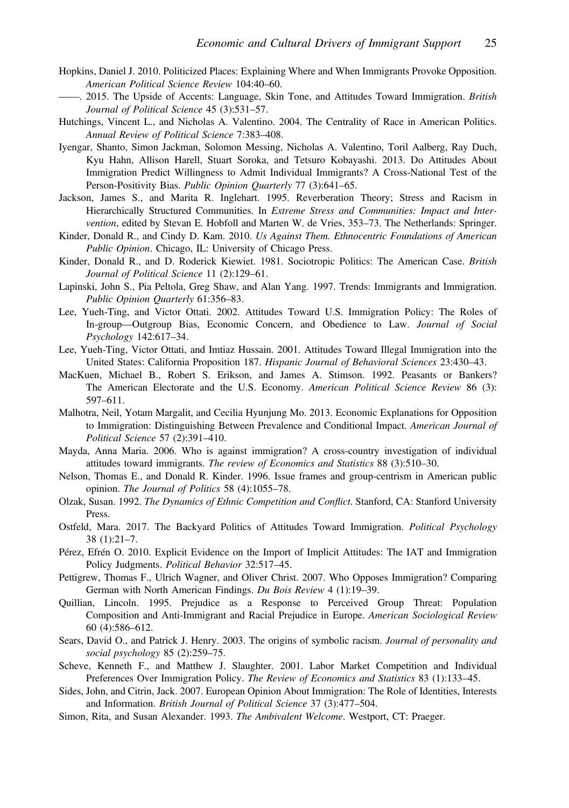- <span id="page-24-0"></span>Hopkins, Daniel J. 2010. Politicized Places: Explaining Where and When Immigrants Provoke Opposition. American Political Science Review 104:40–60.
- -. 2015. The Upside of Accents: Language, Skin Tone, and Attitudes Toward Immigration. British Journal of Political Science 45 (3):531–57.
- Hutchings, Vincent L., and Nicholas A. Valentino. 2004. The Centrality of Race in American Politics. Annual Review of Political Science 7:383–408.
- Iyengar, Shanto, Simon Jackman, Solomon Messing, Nicholas A. Valentino, Toril Aalberg, Ray Duch, Kyu Hahn, Allison Harell, Stuart Soroka, and Tetsuro Kobayashi. 2013. Do Attitudes About Immigration Predict Willingness to Admit Individual Immigrants? A Cross-National Test of the Person-Positivity Bias. Public Opinion Quarterly 77 (3):641–65.
- Jackson, James S., and Marita R. Inglehart. 1995. Reverberation Theory; Stress and Racism in Hierarchically Structured Communities. In Extreme Stress and Communities: Impact and Intervention, edited by Stevan E. Hobfoll and Marten W. de Vries, 353–73. The Netherlands: Springer.
- Kinder, Donald R., and Cindy D. Kam. 2010. Us Against Them. Ethnocentric Foundations of American Public Opinion. Chicago, IL: University of Chicago Press.
- Kinder, Donald R., and D. Roderick Kiewiet. 1981. Sociotropic Politics: The American Case. British Journal of Political Science 11 (2):129–61.
- Lapinski, John S., Pia Peltola, Greg Shaw, and Alan Yang. 1997. Trends: Immigrants and Immigration. Public Opinion Quarterly 61:356–83.
- Lee, Yueh-Ting, and Victor Ottati. 2002. Attitudes Toward U.S. Immigration Policy: The Roles of In-group—Outgroup Bias, Economic Concern, and Obedience to Law. Journal of Social Psychology 142:617–34.
- Lee, Yueh-Ting, Victor Ottati, and Imtiaz Hussain. 2001. Attitudes Toward Illegal Immigration into the United States: California Proposition 187. Hispanic Journal of Behavioral Sciences 23:430–43.
- MacKuen, Michael B., Robert S. Erikson, and James A. Stimson. 1992. Peasants or Bankers? The American Electorate and the U.S. Economy. American Political Science Review 86 (3): 597–611.
- Malhotra, Neil, Yotam Margalit, and Cecilia Hyunjung Mo. 2013. Economic Explanations for Opposition to Immigration: Distinguishing Between Prevalence and Conditional Impact. American Journal of Political Science 57 (2):391–410.
- Mayda, Anna Maria. 2006. Who is against immigration? A cross-country investigation of individual attitudes toward immigrants. The review of Economics and Statistics 88 (3):510–30.
- Nelson, Thomas E., and Donald R. Kinder. 1996. Issue frames and group-centrism in American public opinion. The Journal of Politics 58 (4):1055–78.
- Olzak, Susan. 1992. The Dynamics of Ethnic Competition and Conflict. Stanford, CA: Stanford University Press.
- Ostfeld, Mara. 2017. The Backyard Politics of Attitudes Toward Immigration. Political Psychology 38 (1):21–7.
- Pérez, Efrén O. 2010. Explicit Evidence on the Import of Implicit Attitudes: The IAT and Immigration Policy Judgments. Political Behavior 32:517–45.
- Pettigrew, Thomas F., Ulrich Wagner, and Oliver Christ. 2007. Who Opposes Immigration? Comparing German with North American Findings. Du Bois Review 4 (1):19–39.
- Quillian, Lincoln. 1995. Prejudice as a Response to Perceived Group Threat: Population Composition and Anti-Immigrant and Racial Prejudice in Europe. American Sociological Review 60 (4):586–612.
- Sears, David O., and Patrick J. Henry. 2003. The origins of symbolic racism. Journal of personality and social psychology 85 (2):259–75.
- Scheve, Kenneth F., and Matthew J. Slaughter. 2001. Labor Market Competition and Individual Preferences Over Immigration Policy. The Review of Economics and Statistics 83 (1):133–45.
- Sides, John, and Citrin, Jack. 2007. European Opinion About Immigration: The Role of Identities, Interests and Information. British Journal of Political Science 37 (3):477–504.
- Simon, Rita, and Susan Alexander. 1993. The Ambivalent Welcome. Westport, CT: Praeger.